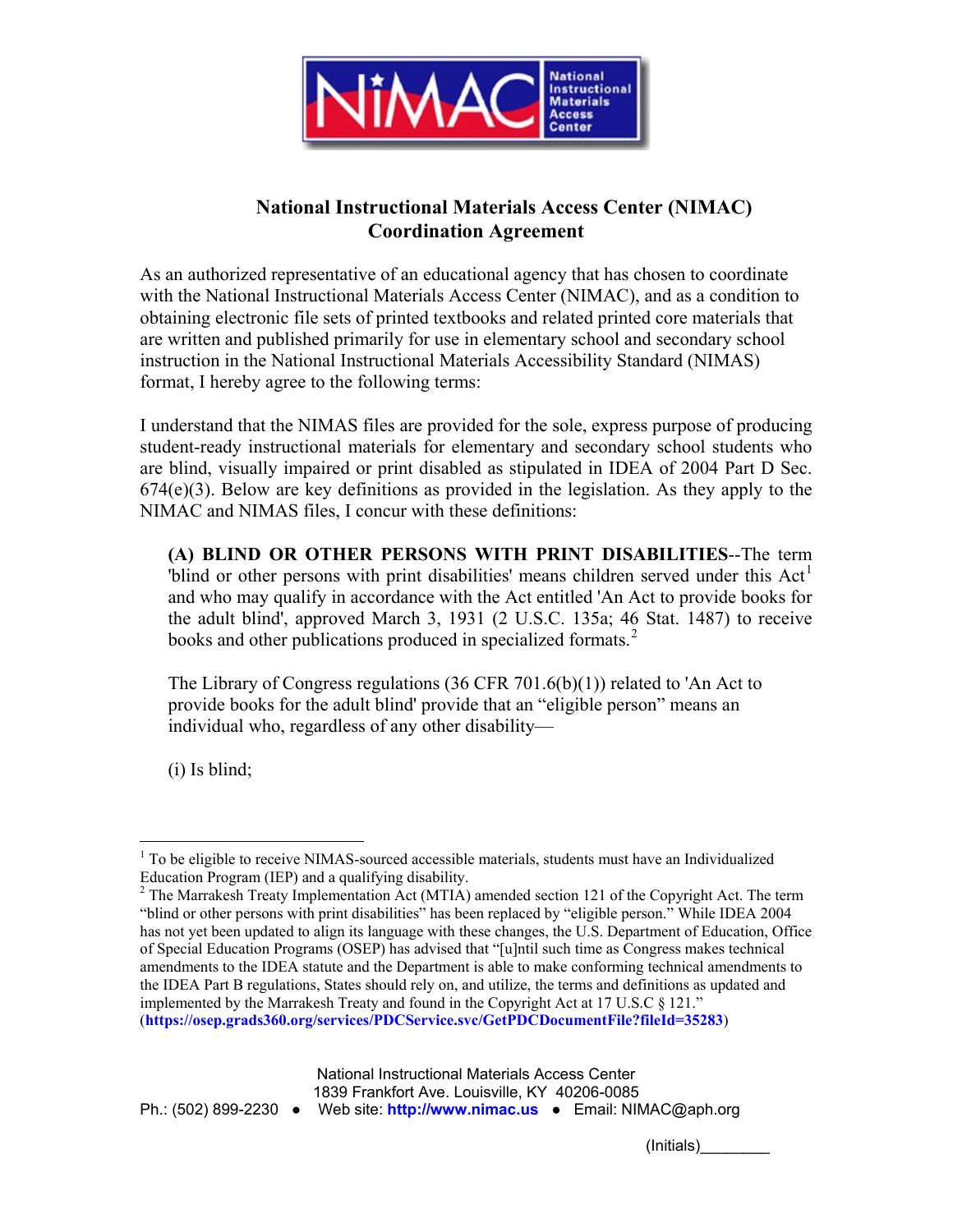

## **National Instructional Materials Access Center (NIMAC) Coordination Agreement**

As an authorized representative of an educational agency that has chosen to coordinate with the National Instructional Materials Access Center (NIMAC), and as a condition to obtaining electronic file sets of printed textbooks and related printed core materials that are written and published primarily for use in elementary school and secondary school instruction in the National Instructional Materials Accessibility Standard (NIMAS) format, I hereby agree to the following terms:

I understand that the NIMAS files are provided for the sole, express purpose of producing student-ready instructional materials for elementary and secondary school students who are blind, visually impaired or print disabled as stipulated in IDEA of 2004 Part D Sec.  $674(e)(3)$ . Below are key definitions as provided in the legislation. As they apply to the NIMAC and NIMAS files, I concur with these definitions:

**(A) BLIND OR OTHER PERSONS WITH PRINT DISABILITIES**--The term 'blind or other persons with print disabilities' means children served under this  $Act<sup>1</sup>$  $Act<sup>1</sup>$  $Act<sup>1</sup>$ and who may qualify in accordance with the Act entitled 'An Act to provide books for the adult blind', approved March 3, 1931 (2 U.S.C. 135a; 46 Stat. 1487) to receive books and other publications produced in specialized formats.<sup>[2](#page-0-1)</sup>

The Library of Congress regulations (36 CFR 701.6(b)(1)) related to 'An Act to provide books for the adult blind' provide that an "eligible person" means an individual who, regardless of any other disability—

(i) Is blind;

Ph.: (502) 899-2230 ● Web site: **[http://www.nimac.us](http://www.nimac.us/)** ● Email: NIMAC@aph.org

(Initials)\_\_\_\_\_\_\_\_

<span id="page-0-0"></span> $1$  To be eligible to receive NIMAS-sourced accessible materials, students must have an Individualized Education Program (IEP) and a qualifying disability.

<span id="page-0-1"></span> $2$  The Marrakesh Treaty Implementation Act (MTIA) amended section 121 of the Copyright Act. The term "blind or other persons with print disabilities" has been replaced by "eligible person." While IDEA 2004 has not yet been updated to align its language with these changes, the U.S. Department of Education, Office of Special Education Programs (OSEP) has advised that "[u]ntil such time as Congress makes technical amendments to the IDEA statute and the Department is able to make conforming technical amendments to the IDEA Part B regulations, States should rely on, and utilize, the terms and definitions as updated and implemented by the Marrakesh Treaty and found in the Copyright Act at 17 U.S.C § 121." (**<https://osep.grads360.org/services/PDCService.svc/GetPDCDocumentFile?fileId=35283>**)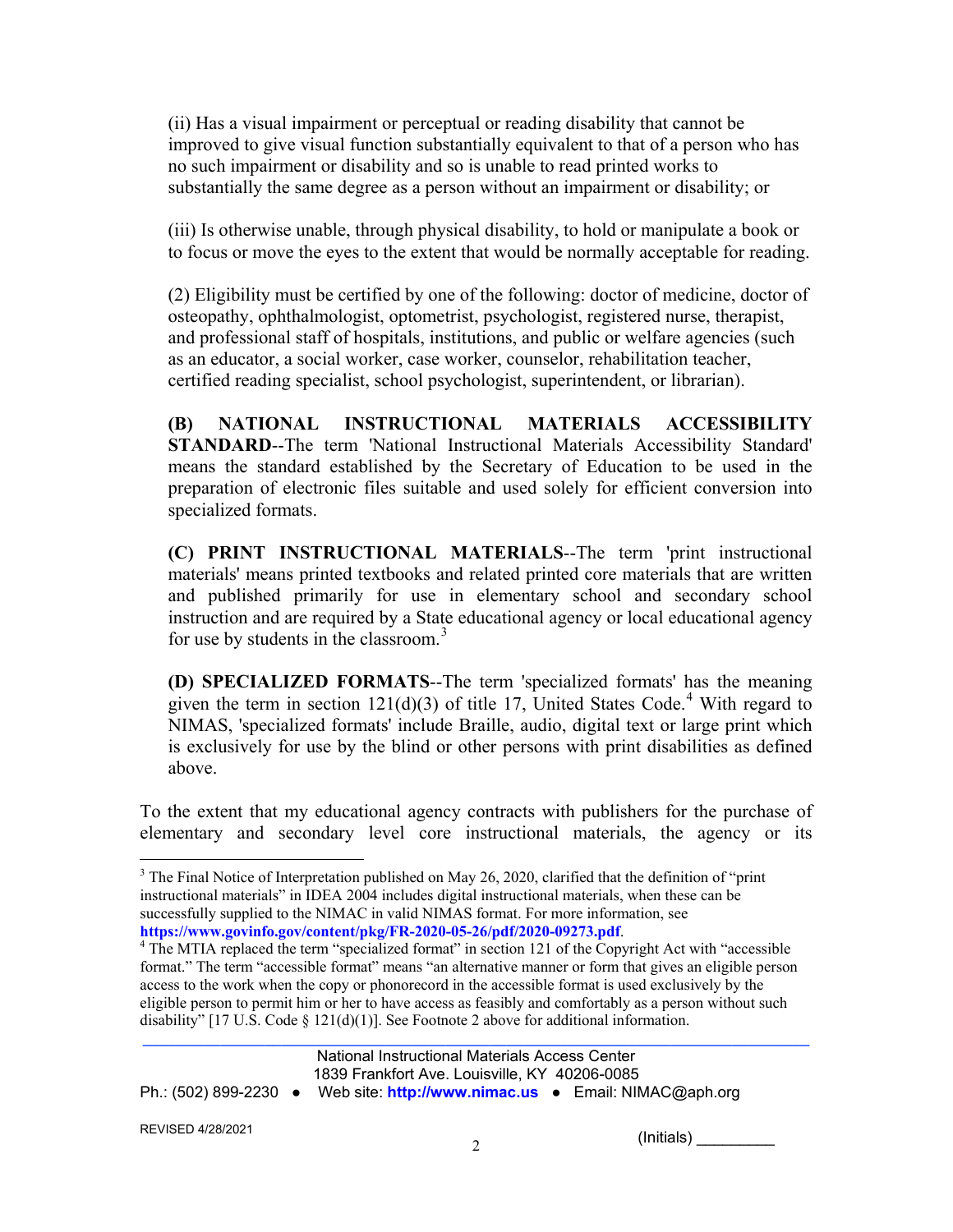(ii) Has a visual impairment or perceptual or reading disability that cannot be improved to give visual function substantially equivalent to that of a person who has no such impairment or disability and so is unable to read printed works to substantially the same degree as a person without an impairment or disability; or

(iii) Is otherwise unable, through physical disability, to hold or manipulate a book or to focus or move the eyes to the extent that would be normally acceptable for reading.

(2) Eligibility must be certified by one of the following: doctor of medicine, doctor of osteopathy, ophthalmologist, optometrist, psychologist, registered nurse, therapist, and professional staff of hospitals, institutions, and public or welfare agencies (such as an educator, a social worker, case worker, counselor, rehabilitation teacher, certified reading specialist, school psychologist, superintendent, or librarian).

**(B) NATIONAL INSTRUCTIONAL MATERIALS ACCESSIBILITY STANDARD**--The term 'National Instructional Materials Accessibility Standard' means the standard established by the Secretary of Education to be used in the preparation of electronic files suitable and used solely for efficient conversion into specialized formats.

**(C) PRINT INSTRUCTIONAL MATERIALS**--The term 'print instructional materials' means printed textbooks and related printed core materials that are written and published primarily for use in elementary school and secondary school instruction and are required by a State educational agency or local educational agency for use by students in the classroom. $3$ 

**(D) SPECIALIZED FORMATS**--The term 'specialized formats' has the meaning given the term in section  $121(d)(3)$  of title 17, United States Code.<sup>[4](#page-1-1)</sup> With regard to NIMAS, 'specialized formats' include Braille, audio, digital text or large print which is exclusively for use by the blind or other persons with print disabilities as defined above.

To the extent that my educational agency contracts with publishers for the purchase of elementary and secondary level core instructional materials, the agency or its

2 (Initials) \_\_\_\_\_\_\_\_\_

<span id="page-1-0"></span> $3$  The Final Notice of Interpretation published on May 26, 2020, clarified that the definition of "print" instructional materials" in IDEA 2004 includes digital instructional materials, when these can be successfully supplied to the NIMAC in valid NIMAS format. For more information, see

<span id="page-1-1"></span>**https://www.govinfo.gov/content/pkg/FR-2020-05-26/pdf/2020-09273.pdf**[.](https://www.govinfo.gov/content/pkg/FR-2020-05-26/pdf/2020-09273.pdf) [4](https://www.govinfo.gov/content/pkg/FR-2020-05-26/pdf/2020-09273.pdf) The MTIA replaced the term "specialized format" in section 121 of the Copyright Act with "accessible format." The term "accessible format" means "an alternative manner or form that gives an eligible person access to the work when the copy or phonorecord in the accessible format is used exclusively by the eligible person to permit him or her to have access as feasibly and comfortably as a person without such disability" [17 U.S. Code  $\S$  121(d)(1)]. See Footnote 2 above for additional information.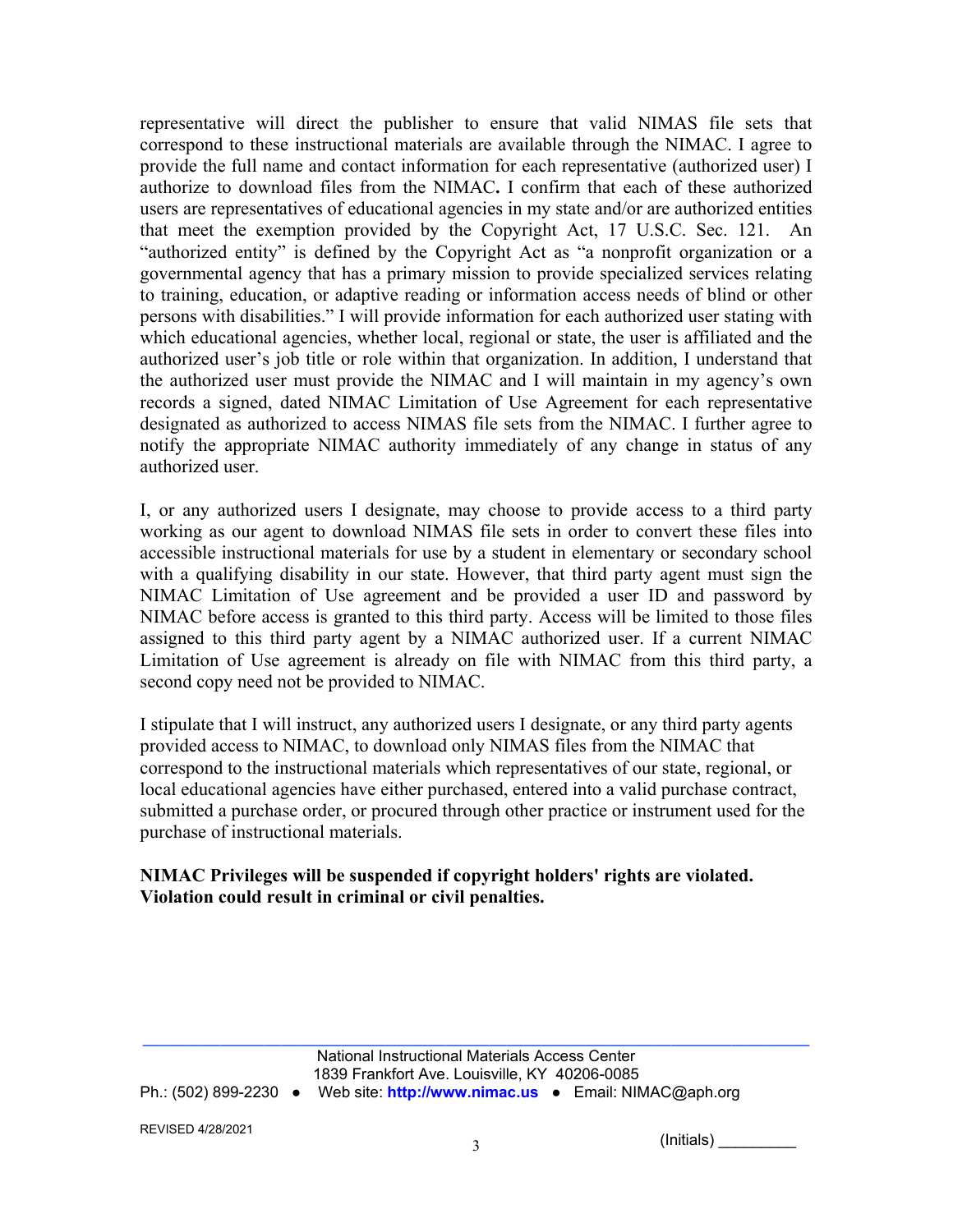representative will direct the publisher to ensure that valid NIMAS file sets that correspond to these instructional materials are available through the NIMAC. I agree to provide the full name and contact information for each representative (authorized user) I authorize to download files from the NIMAC**.** I confirm that each of these authorized users are representatives of educational agencies in my state and/or are authorized entities that meet the exemption provided by the Copyright Act, 17 U.S.C. Sec. 121. An "authorized entity" is defined by the Copyright Act as "a nonprofit organization or a governmental agency that has a primary mission to provide specialized services relating to training, education, or adaptive reading or information access needs of blind or other persons with disabilities." I will provide information for each authorized user stating with which educational agencies, whether local, regional or state, the user is affiliated and the authorized user's job title or role within that organization. In addition, I understand that the authorized user must provide the NIMAC and I will maintain in my agency's own records a signed, dated NIMAC Limitation of Use Agreement for each representative designated as authorized to access NIMAS file sets from the NIMAC. I further agree to notify the appropriate NIMAC authority immediately of any change in status of any authorized user.

I, or any authorized users I designate, may choose to provide access to a third party working as our agent to download NIMAS file sets in order to convert these files into accessible instructional materials for use by a student in elementary or secondary school with a qualifying disability in our state. However, that third party agent must sign the NIMAC Limitation of Use agreement and be provided a user ID and password by NIMAC before access is granted to this third party. Access will be limited to those files assigned to this third party agent by a NIMAC authorized user. If a current NIMAC Limitation of Use agreement is already on file with NIMAC from this third party, a second copy need not be provided to NIMAC.

I stipulate that I will instruct, any authorized users I designate, or any third party agents provided access to NIMAC, to download only NIMAS files from the NIMAC that correspond to the instructional materials which representatives of our state, regional, or local educational agencies have either purchased, entered into a valid purchase contract, submitted a purchase order, or procured through other practice or instrument used for the purchase of instructional materials.

## **NIMAC Privileges will be suspended if copyright holders' rights are violated. Violation could result in criminal or civil penalties.**

3 (Initials) \_\_\_\_\_\_\_\_\_